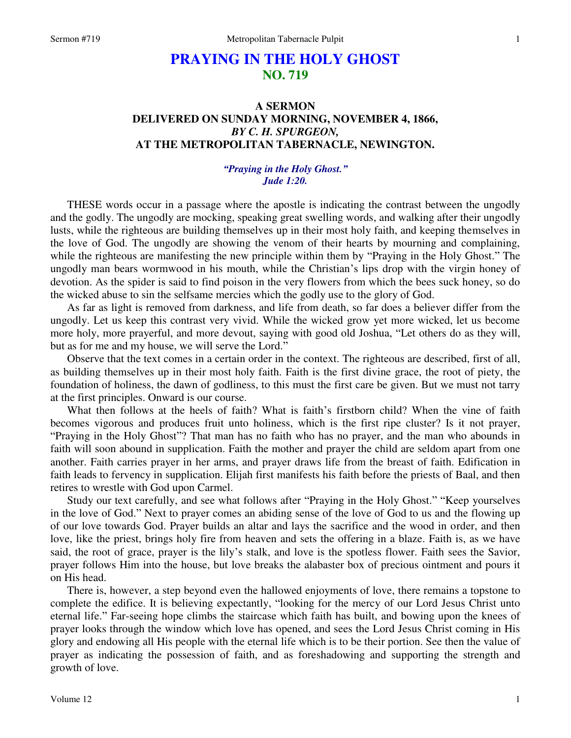## **PRAYING IN THE HOLY GHOST NO. 719**

## **A SERMON DELIVERED ON SUNDAY MORNING, NOVEMBER 4, 1866,**  *BY C. H. SPURGEON,*  **AT THE METROPOLITAN TABERNACLE, NEWINGTON.**

## *"Praying in the Holy Ghost." Jude 1:20.*

THESE words occur in a passage where the apostle is indicating the contrast between the ungodly and the godly. The ungodly are mocking, speaking great swelling words, and walking after their ungodly lusts, while the righteous are building themselves up in their most holy faith, and keeping themselves in the love of God. The ungodly are showing the venom of their hearts by mourning and complaining, while the righteous are manifesting the new principle within them by "Praying in the Holy Ghost." The ungodly man bears wormwood in his mouth, while the Christian's lips drop with the virgin honey of devotion. As the spider is said to find poison in the very flowers from which the bees suck honey, so do the wicked abuse to sin the selfsame mercies which the godly use to the glory of God.

As far as light is removed from darkness, and life from death, so far does a believer differ from the ungodly. Let us keep this contrast very vivid. While the wicked grow yet more wicked, let us become more holy, more prayerful, and more devout, saying with good old Joshua, "Let others do as they will, but as for me and my house, we will serve the Lord."

Observe that the text comes in a certain order in the context. The righteous are described, first of all, as building themselves up in their most holy faith. Faith is the first divine grace, the root of piety, the foundation of holiness, the dawn of godliness, to this must the first care be given. But we must not tarry at the first principles. Onward is our course.

What then follows at the heels of faith? What is faith's firstborn child? When the vine of faith becomes vigorous and produces fruit unto holiness, which is the first ripe cluster? Is it not prayer, "Praying in the Holy Ghost"? That man has no faith who has no prayer, and the man who abounds in faith will soon abound in supplication. Faith the mother and prayer the child are seldom apart from one another. Faith carries prayer in her arms, and prayer draws life from the breast of faith. Edification in faith leads to fervency in supplication. Elijah first manifests his faith before the priests of Baal, and then retires to wrestle with God upon Carmel.

Study our text carefully, and see what follows after "Praying in the Holy Ghost." "Keep yourselves in the love of God." Next to prayer comes an abiding sense of the love of God to us and the flowing up of our love towards God. Prayer builds an altar and lays the sacrifice and the wood in order, and then love, like the priest, brings holy fire from heaven and sets the offering in a blaze. Faith is, as we have said, the root of grace, prayer is the lily's stalk, and love is the spotless flower. Faith sees the Savior, prayer follows Him into the house, but love breaks the alabaster box of precious ointment and pours it on His head.

There is, however, a step beyond even the hallowed enjoyments of love, there remains a topstone to complete the edifice. It is believing expectantly, "looking for the mercy of our Lord Jesus Christ unto eternal life." Far-seeing hope climbs the staircase which faith has built, and bowing upon the knees of prayer looks through the window which love has opened, and sees the Lord Jesus Christ coming in His glory and endowing all His people with the eternal life which is to be their portion. See then the value of prayer as indicating the possession of faith, and as foreshadowing and supporting the strength and growth of love.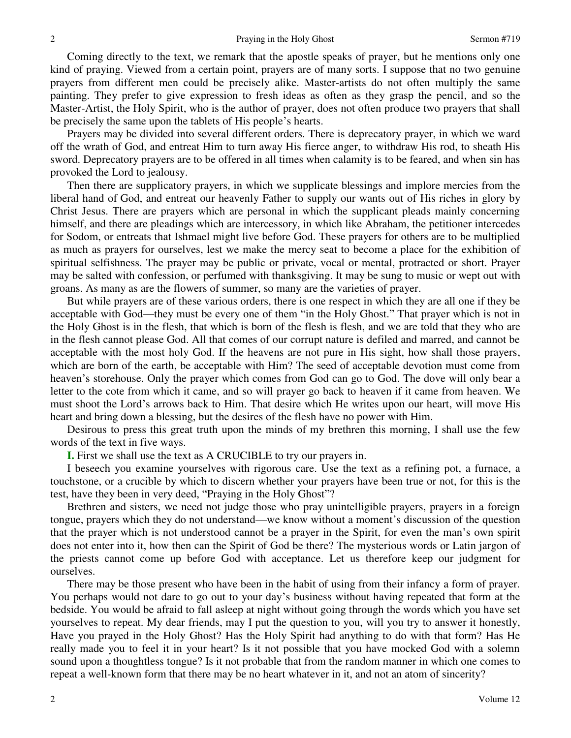Coming directly to the text, we remark that the apostle speaks of prayer, but he mentions only one kind of praying. Viewed from a certain point, prayers are of many sorts. I suppose that no two genuine prayers from different men could be precisely alike. Master-artists do not often multiply the same painting. They prefer to give expression to fresh ideas as often as they grasp the pencil, and so the Master-Artist, the Holy Spirit, who is the author of prayer, does not often produce two prayers that shall be precisely the same upon the tablets of His people's hearts.

Prayers may be divided into several different orders. There is deprecatory prayer, in which we ward off the wrath of God, and entreat Him to turn away His fierce anger, to withdraw His rod, to sheath His sword. Deprecatory prayers are to be offered in all times when calamity is to be feared, and when sin has provoked the Lord to jealousy.

Then there are supplicatory prayers, in which we supplicate blessings and implore mercies from the liberal hand of God, and entreat our heavenly Father to supply our wants out of His riches in glory by Christ Jesus. There are prayers which are personal in which the supplicant pleads mainly concerning himself, and there are pleadings which are intercessory, in which like Abraham, the petitioner intercedes for Sodom, or entreats that Ishmael might live before God. These prayers for others are to be multiplied as much as prayers for ourselves, lest we make the mercy seat to become a place for the exhibition of spiritual selfishness. The prayer may be public or private, vocal or mental, protracted or short. Prayer may be salted with confession, or perfumed with thanksgiving. It may be sung to music or wept out with groans. As many as are the flowers of summer, so many are the varieties of prayer.

But while prayers are of these various orders, there is one respect in which they are all one if they be acceptable with God—they must be every one of them "in the Holy Ghost." That prayer which is not in the Holy Ghost is in the flesh, that which is born of the flesh is flesh, and we are told that they who are in the flesh cannot please God. All that comes of our corrupt nature is defiled and marred, and cannot be acceptable with the most holy God. If the heavens are not pure in His sight, how shall those prayers, which are born of the earth, be acceptable with Him? The seed of acceptable devotion must come from heaven's storehouse. Only the prayer which comes from God can go to God. The dove will only bear a letter to the cote from which it came, and so will prayer go back to heaven if it came from heaven. We must shoot the Lord's arrows back to Him. That desire which He writes upon our heart, will move His heart and bring down a blessing, but the desires of the flesh have no power with Him.

Desirous to press this great truth upon the minds of my brethren this morning, I shall use the few words of the text in five ways.

**I.** First we shall use the text as A CRUCIBLE to try our prayers in.

I beseech you examine yourselves with rigorous care. Use the text as a refining pot, a furnace, a touchstone, or a crucible by which to discern whether your prayers have been true or not, for this is the test, have they been in very deed, "Praying in the Holy Ghost"?

Brethren and sisters, we need not judge those who pray unintelligible prayers, prayers in a foreign tongue, prayers which they do not understand—we know without a moment's discussion of the question that the prayer which is not understood cannot be a prayer in the Spirit, for even the man's own spirit does not enter into it, how then can the Spirit of God be there? The mysterious words or Latin jargon of the priests cannot come up before God with acceptance. Let us therefore keep our judgment for ourselves.

There may be those present who have been in the habit of using from their infancy a form of prayer*.* You perhaps would not dare to go out to your day's business without having repeated that form at the bedside. You would be afraid to fall asleep at night without going through the words which you have set yourselves to repeat. My dear friends, may I put the question to you, will you try to answer it honestly, Have you prayed in the Holy Ghost? Has the Holy Spirit had anything to do with that form? Has He really made you to feel it in your heart? Is it not possible that you have mocked God with a solemn sound upon a thoughtless tongue? Is it not probable that from the random manner in which one comes to repeat a well-known form that there may be no heart whatever in it, and not an atom of sincerity?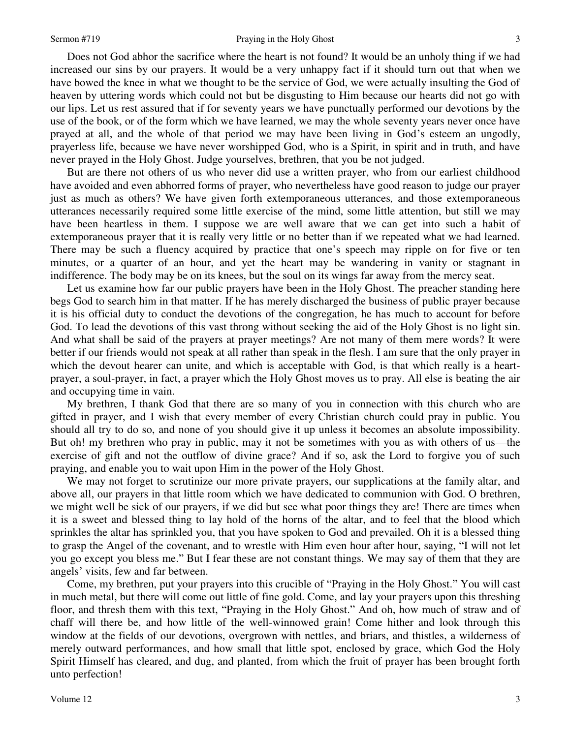Does not God abhor the sacrifice where the heart is not found? It would be an unholy thing if we had increased our sins by our prayers. It would be a very unhappy fact if it should turn out that when we have bowed the knee in what we thought to be the service of God, we were actually insulting the God of heaven by uttering words which could not but be disgusting to Him because our hearts did not go with our lips. Let us rest assured that if for seventy years we have punctually performed our devotions by the use of the book, or of the form which we have learned, we may the whole seventy years never once have prayed at all, and the whole of that period we may have been living in God's esteem an ungodly, prayerless life, because we have never worshipped God, who is a Spirit, in spirit and in truth, and have never prayed in the Holy Ghost. Judge yourselves, brethren, that you be not judged.

But are there not others of us who never did use a written prayer, who from our earliest childhood have avoided and even abhorred forms of prayer, who nevertheless have good reason to judge our prayer just as much as others? We have given forth extemporaneous utterances*,* and those extemporaneous utterances necessarily required some little exercise of the mind, some little attention, but still we may have been heartless in them. I suppose we are well aware that we can get into such a habit of extemporaneous prayer that it is really very little or no better than if we repeated what we had learned. There may be such a fluency acquired by practice that one's speech may ripple on for five or ten minutes, or a quarter of an hour, and yet the heart may be wandering in vanity or stagnant in indifference. The body may be on its knees, but the soul on its wings far away from the mercy seat.

Let us examine how far our public prayers have been in the Holy Ghost. The preacher standing here begs God to search him in that matter. If he has merely discharged the business of public prayer because it is his official duty to conduct the devotions of the congregation, he has much to account for before God. To lead the devotions of this vast throng without seeking the aid of the Holy Ghost is no light sin. And what shall be said of the prayers at prayer meetings? Are not many of them mere words? It were better if our friends would not speak at all rather than speak in the flesh. I am sure that the only prayer in which the devout hearer can unite, and which is acceptable with God, is that which really is a heartprayer, a soul-prayer, in fact, a prayer which the Holy Ghost moves us to pray. All else is beating the air and occupying time in vain.

My brethren, I thank God that there are so many of you in connection with this church who are gifted in prayer, and I wish that every member of every Christian church could pray in public. You should all try to do so, and none of you should give it up unless it becomes an absolute impossibility. But oh! my brethren who pray in public, may it not be sometimes with you as with others of us—the exercise of gift and not the outflow of divine grace? And if so, ask the Lord to forgive you of such praying, and enable you to wait upon Him in the power of the Holy Ghost.

We may not forget to scrutinize our more private prayers, our supplications at the family altar, and above all, our prayers in that little room which we have dedicated to communion with God. O brethren, we might well be sick of our prayers, if we did but see what poor things they are! There are times when it is a sweet and blessed thing to lay hold of the horns of the altar, and to feel that the blood which sprinkles the altar has sprinkled you, that you have spoken to God and prevailed. Oh it is a blessed thing to grasp the Angel of the covenant, and to wrestle with Him even hour after hour, saying, "I will not let you go except you bless me." But I fear these are not constant things. We may say of them that they are angels' visits, few and far between.

Come, my brethren, put your prayers into this crucible of "Praying in the Holy Ghost." You will cast in much metal, but there will come out little of fine gold. Come, and lay your prayers upon this threshing floor, and thresh them with this text, "Praying in the Holy Ghost." And oh, how much of straw and of chaff will there be, and how little of the well-winnowed grain! Come hither and look through this window at the fields of our devotions, overgrown with nettles, and briars, and thistles, a wilderness of merely outward performances, and how small that little spot, enclosed by grace, which God the Holy Spirit Himself has cleared, and dug, and planted, from which the fruit of prayer has been brought forth unto perfection!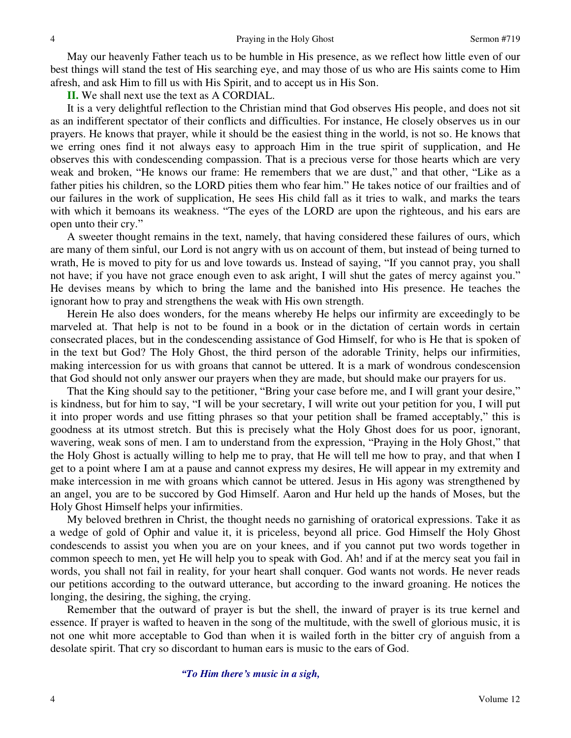May our heavenly Father teach us to be humble in His presence, as we reflect how little even of our best things will stand the test of His searching eye, and may those of us who are His saints come to Him afresh, and ask Him to fill us with His Spirit, and to accept us in His Son.

**II.** We shall next use the text as A CORDIAL.

It is a very delightful reflection to the Christian mind that God observes His people, and does not sit as an indifferent spectator of their conflicts and difficulties. For instance, He closely observes us in our prayers. He knows that prayer, while it should be the easiest thing in the world, is not so. He knows that we erring ones find it not always easy to approach Him in the true spirit of supplication, and He observes this with condescending compassion. That is a precious verse for those hearts which are very weak and broken, "He knows our frame: He remembers that we are dust," and that other, "Like as a father pities his children, so the LORD pities them who fear him." He takes notice of our frailties and of our failures in the work of supplication, He sees His child fall as it tries to walk, and marks the tears with which it bemoans its weakness. "The eyes of the LORD are upon the righteous, and his ears are open unto their cry."

A sweeter thought remains in the text, namely, that having considered these failures of ours, which are many of them sinful, our Lord is not angry with us on account of them, but instead of being turned to wrath, He is moved to pity for us and love towards us. Instead of saying, "If you cannot pray, you shall not have; if you have not grace enough even to ask aright, I will shut the gates of mercy against you." He devises means by which to bring the lame and the banished into His presence. He teaches the ignorant how to pray and strengthens the weak with His own strength.

Herein He also does wonders, for the means whereby He helps our infirmity are exceedingly to be marveled at. That help is not to be found in a book or in the dictation of certain words in certain consecrated places, but in the condescending assistance of God Himself, for who is He that is spoken of in the text but God? The Holy Ghost, the third person of the adorable Trinity, helps our infirmities, making intercession for us with groans that cannot be uttered. It is a mark of wondrous condescension that God should not only answer our prayers when they are made, but should make our prayers for us.

That the King should say to the petitioner, "Bring your case before me, and I will grant your desire," is kindness, but for him to say, "I will be your secretary, I will write out your petition for you, I will put it into proper words and use fitting phrases so that your petition shall be framed acceptably," this is goodness at its utmost stretch. But this is precisely what the Holy Ghost does for us poor, ignorant, wavering, weak sons of men. I am to understand from the expression, "Praying in the Holy Ghost," that the Holy Ghost is actually willing to help me to pray, that He will tell me how to pray, and that when I get to a point where I am at a pause and cannot express my desires, He will appear in my extremity and make intercession in me with groans which cannot be uttered. Jesus in His agony was strengthened by an angel, you are to be succored by God Himself. Aaron and Hur held up the hands of Moses, but the Holy Ghost Himself helps your infirmities.

My beloved brethren in Christ, the thought needs no garnishing of oratorical expressions. Take it as a wedge of gold of Ophir and value it, it is priceless, beyond all price. God Himself the Holy Ghost condescends to assist you when you are on your knees, and if you cannot put two words together in common speech to men, yet He will help you to speak with God. Ah! and if at the mercy seat you fail in words, you shall not fail in reality, for your heart shall conquer. God wants not words. He never reads our petitions according to the outward utterance, but according to the inward groaning. He notices the longing, the desiring, the sighing, the crying.

Remember that the outward of prayer is but the shell, the inward of prayer is its true kernel and essence. If prayer is wafted to heaven in the song of the multitude, with the swell of glorious music, it is not one whit more acceptable to God than when it is wailed forth in the bitter cry of anguish from a desolate spirit. That cry so discordant to human ears is music to the ears of God.

*"To Him there's music in a sigh,*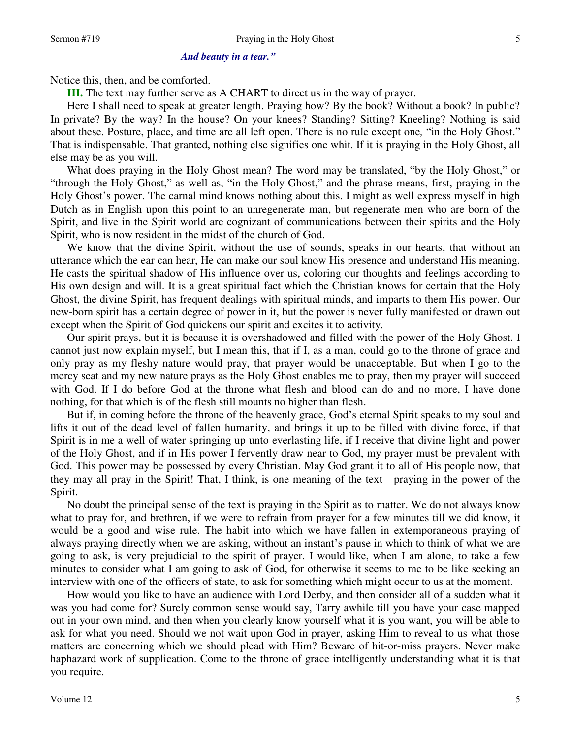## *And beauty in a tear."*

Notice this, then, and be comforted.

**III.** The text may further serve as A CHART to direct us in the way of prayer.

Here I shall need to speak at greater length. Praying how? By the book? Without a book? In public? In private? By the way? In the house? On your knees? Standing? Sitting? Kneeling? Nothing is said about these. Posture, place, and time are all left open. There is no rule except one*,* "in the Holy Ghost." That is indispensable. That granted, nothing else signifies one whit. If it is praying in the Holy Ghost, all else may be as you will.

What does praying in the Holy Ghost mean? The word may be translated, "by the Holy Ghost," or "through the Holy Ghost," as well as, "in the Holy Ghost," and the phrase means, first, praying in the Holy Ghost's power. The carnal mind knows nothing about this. I might as well express myself in high Dutch as in English upon this point to an unregenerate man, but regenerate men who are born of the Spirit, and live in the Spirit world are cognizant of communications between their spirits and the Holy Spirit, who is now resident in the midst of the church of God.

We know that the divine Spirit, without the use of sounds, speaks in our hearts, that without an utterance which the ear can hear, He can make our soul know His presence and understand His meaning. He casts the spiritual shadow of His influence over us, coloring our thoughts and feelings according to His own design and will. It is a great spiritual fact which the Christian knows for certain that the Holy Ghost, the divine Spirit, has frequent dealings with spiritual minds, and imparts to them His power. Our new-born spirit has a certain degree of power in it, but the power is never fully manifested or drawn out except when the Spirit of God quickens our spirit and excites it to activity.

Our spirit prays, but it is because it is overshadowed and filled with the power of the Holy Ghost. I cannot just now explain myself, but I mean this, that if I, as a man, could go to the throne of grace and only pray as my fleshy nature would pray, that prayer would be unacceptable. But when I go to the mercy seat and my new nature prays as the Holy Ghost enables me to pray, then my prayer will succeed with God. If I do before God at the throne what flesh and blood can do and no more, I have done nothing, for that which is of the flesh still mounts no higher than flesh.

But if, in coming before the throne of the heavenly grace, God's eternal Spirit speaks to my soul and lifts it out of the dead level of fallen humanity, and brings it up to be filled with divine force, if that Spirit is in me a well of water springing up unto everlasting life, if I receive that divine light and power of the Holy Ghost, and if in His power I fervently draw near to God, my prayer must be prevalent with God. This power may be possessed by every Christian. May God grant it to all of His people now, that they may all pray in the Spirit! That, I think, is one meaning of the text—praying in the power of the Spirit.

No doubt the principal sense of the text is praying in the Spirit as to matter. We do not always know what to pray for, and brethren, if we were to refrain from prayer for a few minutes till we did know, it would be a good and wise rule. The habit into which we have fallen in extemporaneous praying of always praying directly when we are asking, without an instant's pause in which to think of what we are going to ask, is very prejudicial to the spirit of prayer. I would like, when I am alone, to take a few minutes to consider what I am going to ask of God, for otherwise it seems to me to be like seeking an interview with one of the officers of state, to ask for something which might occur to us at the moment.

How would you like to have an audience with Lord Derby, and then consider all of a sudden what it was you had come for? Surely common sense would say, Tarry awhile till you have your case mapped out in your own mind, and then when you clearly know yourself what it is you want, you will be able to ask for what you need. Should we not wait upon God in prayer, asking Him to reveal to us what those matters are concerning which we should plead with Him? Beware of hit-or-miss prayers. Never make haphazard work of supplication. Come to the throne of grace intelligently understanding what it is that you require.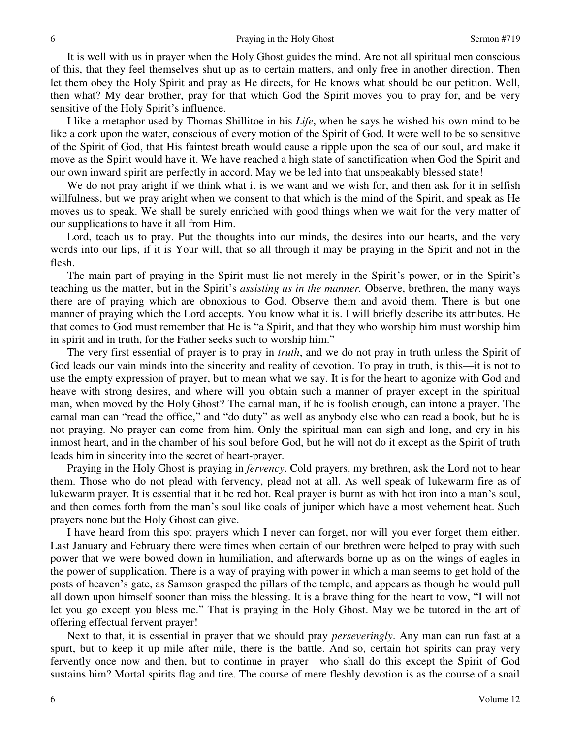It is well with us in prayer when the Holy Ghost guides the mind. Are not all spiritual men conscious of this, that they feel themselves shut up as to certain matters, and only free in another direction. Then let them obey the Holy Spirit and pray as He directs, for He knows what should be our petition. Well, then what? My dear brother, pray for that which God the Spirit moves you to pray for, and be very sensitive of the Holy Spirit's influence.

I like a metaphor used by Thomas Shillitoe in his *Life*, when he says he wished his own mind to be like a cork upon the water, conscious of every motion of the Spirit of God. It were well to be so sensitive of the Spirit of God, that His faintest breath would cause a ripple upon the sea of our soul, and make it move as the Spirit would have it. We have reached a high state of sanctification when God the Spirit and our own inward spirit are perfectly in accord. May we be led into that unspeakably blessed state!

We do not pray aright if we think what it is we want and we wish for, and then ask for it in selfish willfulness, but we pray aright when we consent to that which is the mind of the Spirit, and speak as He moves us to speak. We shall be surely enriched with good things when we wait for the very matter of our supplications to have it all from Him.

Lord, teach us to pray. Put the thoughts into our minds, the desires into our hearts, and the very words into our lips, if it is Your will, that so all through it may be praying in the Spirit and not in the flesh.

The main part of praying in the Spirit must lie not merely in the Spirit's power, or in the Spirit's teaching us the matter, but in the Spirit's *assisting us in the manner.* Observe, brethren, the many ways there are of praying which are obnoxious to God. Observe them and avoid them. There is but one manner of praying which the Lord accepts. You know what it is. I will briefly describe its attributes. He that comes to God must remember that He is "a Spirit, and that they who worship him must worship him in spirit and in truth, for the Father seeks such to worship him."

The very first essential of prayer is to pray in *truth*, and we do not pray in truth unless the Spirit of God leads our vain minds into the sincerity and reality of devotion. To pray in truth, is this—it is not to use the empty expression of prayer, but to mean what we say. It is for the heart to agonize with God and heave with strong desires, and where will you obtain such a manner of prayer except in the spiritual man, when moved by the Holy Ghost? The carnal man, if he is foolish enough, can intone a prayer. The carnal man can "read the office," and "do duty" as well as anybody else who can read a book, but he is not praying. No prayer can come from him. Only the spiritual man can sigh and long, and cry in his inmost heart, and in the chamber of his soul before God, but he will not do it except as the Spirit of truth leads him in sincerity into the secret of heart-prayer.

Praying in the Holy Ghost is praying in *fervency*. Cold prayers, my brethren, ask the Lord not to hear them. Those who do not plead with fervency, plead not at all. As well speak of lukewarm fire as of lukewarm prayer. It is essential that it be red hot. Real prayer is burnt as with hot iron into a man's soul, and then comes forth from the man's soul like coals of juniper which have a most vehement heat. Such prayers none but the Holy Ghost can give.

I have heard from this spot prayers which I never can forget, nor will you ever forget them either. Last January and February there were times when certain of our brethren were helped to pray with such power that we were bowed down in humiliation, and afterwards borne up as on the wings of eagles in the power of supplication. There is a way of praying with power in which a man seems to get hold of the posts of heaven's gate, as Samson grasped the pillars of the temple, and appears as though he would pull all down upon himself sooner than miss the blessing. It is a brave thing for the heart to vow, "I will not let you go except you bless me." That is praying in the Holy Ghost. May we be tutored in the art of offering effectual fervent prayer!

Next to that, it is essential in prayer that we should pray *perseveringly*. Any man can run fast at a spurt, but to keep it up mile after mile, there is the battle. And so, certain hot spirits can pray very fervently once now and then, but to continue in prayer—who shall do this except the Spirit of God sustains him? Mortal spirits flag and tire. The course of mere fleshly devotion is as the course of a snail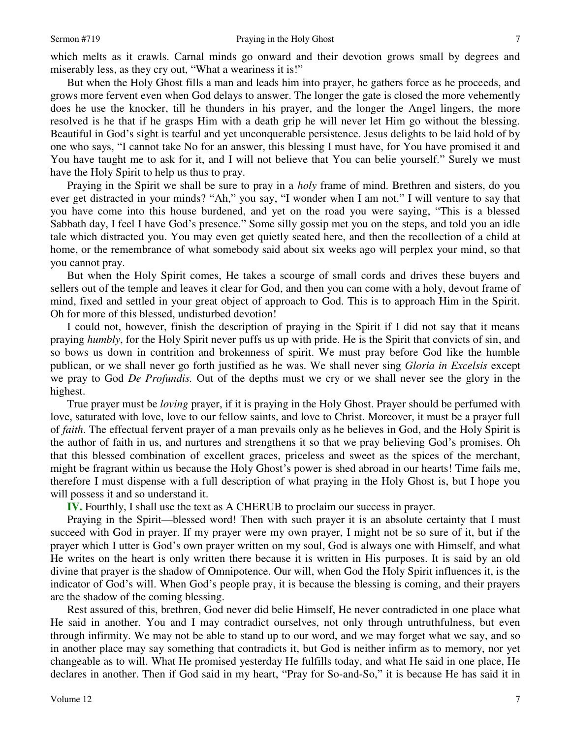which melts as it crawls. Carnal minds go onward and their devotion grows small by degrees and miserably less, as they cry out, "What a weariness it is!"

But when the Holy Ghost fills a man and leads him into prayer, he gathers force as he proceeds, and grows more fervent even when God delays to answer. The longer the gate is closed the more vehemently does he use the knocker, till he thunders in his prayer, and the longer the Angel lingers, the more resolved is he that if he grasps Him with a death grip he will never let Him go without the blessing. Beautiful in God's sight is tearful and yet unconquerable persistence. Jesus delights to be laid hold of by one who says, "I cannot take No for an answer, this blessing I must have, for You have promised it and You have taught me to ask for it, and I will not believe that You can belie yourself." Surely we must have the Holy Spirit to help us thus to pray.

Praying in the Spirit we shall be sure to pray in a *holy* frame of mind. Brethren and sisters, do you ever get distracted in your minds? "Ah," you say, "I wonder when I am not." I will venture to say that you have come into this house burdened, and yet on the road you were saying, "This is a blessed Sabbath day, I feel I have God's presence." Some silly gossip met you on the steps, and told you an idle tale which distracted you. You may even get quietly seated here, and then the recollection of a child at home, or the remembrance of what somebody said about six weeks ago will perplex your mind, so that you cannot pray.

But when the Holy Spirit comes, He takes a scourge of small cords and drives these buyers and sellers out of the temple and leaves it clear for God, and then you can come with a holy, devout frame of mind, fixed and settled in your great object of approach to God. This is to approach Him in the Spirit. Oh for more of this blessed, undisturbed devotion!

I could not, however, finish the description of praying in the Spirit if I did not say that it means praying *humbly*, for the Holy Spirit never puffs us up with pride. He is the Spirit that convicts of sin, and so bows us down in contrition and brokenness of spirit. We must pray before God like the humble publican, or we shall never go forth justified as he was. We shall never sing *Gloria in Excelsis* except we pray to God *De Profundis.* Out of the depths must we cry or we shall never see the glory in the highest.

True prayer must be *loving* prayer, if it is praying in the Holy Ghost. Prayer should be perfumed with love, saturated with love, love to our fellow saints, and love to Christ. Moreover, it must be a prayer full of *faith*. The effectual fervent prayer of a man prevails only as he believes in God, and the Holy Spirit is the author of faith in us, and nurtures and strengthens it so that we pray believing God's promises. Oh that this blessed combination of excellent graces, priceless and sweet as the spices of the merchant, might be fragrant within us because the Holy Ghost's power is shed abroad in our hearts! Time fails me, therefore I must dispense with a full description of what praying in the Holy Ghost is, but I hope you will possess it and so understand it.

**IV.** Fourthly, I shall use the text as A CHERUB to proclaim our success in prayer.

Praying in the Spirit—blessed word! Then with such prayer it is an absolute certainty that I must succeed with God in prayer. If my prayer were my own prayer, I might not be so sure of it, but if the prayer which I utter is God's own prayer written on my soul, God is always one with Himself, and what He writes on the heart is only written there because it is written in His purposes. It is said by an old divine that prayer is the shadow of Omnipotence. Our will, when God the Holy Spirit influences it, is the indicator of God's will. When God's people pray, it is because the blessing is coming, and their prayers are the shadow of the coming blessing.

Rest assured of this, brethren, God never did belie Himself, He never contradicted in one place what He said in another. You and I may contradict ourselves, not only through untruthfulness, but even through infirmity. We may not be able to stand up to our word, and we may forget what we say, and so in another place may say something that contradicts it, but God is neither infirm as to memory, nor yet changeable as to will. What He promised yesterday He fulfills today, and what He said in one place, He declares in another. Then if God said in my heart, "Pray for So-and-So," it is because He has said it in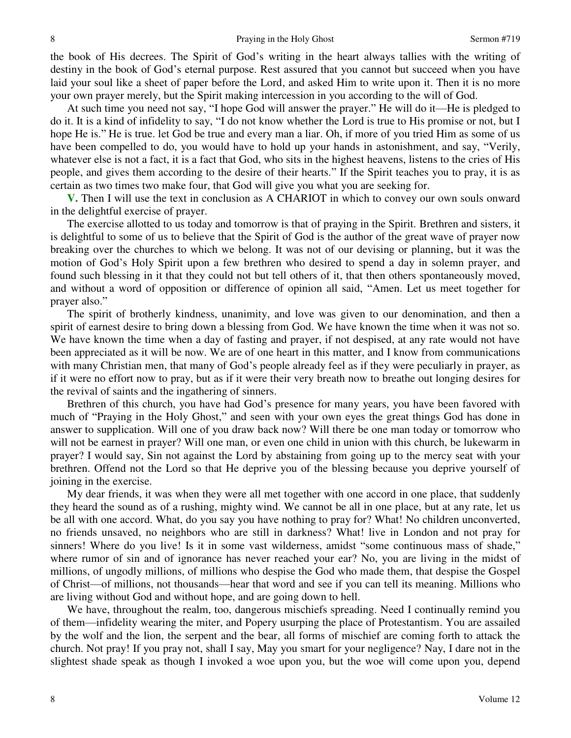the book of His decrees. The Spirit of God's writing in the heart always tallies with the writing of destiny in the book of God's eternal purpose. Rest assured that you cannot but succeed when you have laid your soul like a sheet of paper before the Lord, and asked Him to write upon it. Then it is no more your own prayer merely, but the Spirit making intercession in you according to the will of God.

At such time you need not say, "I hope God will answer the prayer." He will do it—He is pledged to do it. It is a kind of infidelity to say, "I do not know whether the Lord is true to His promise or not, but I hope He is." He is true. let God be true and every man a liar. Oh, if more of you tried Him as some of us have been compelled to do, you would have to hold up your hands in astonishment, and say, "Verily, whatever else is not a fact, it is a fact that God, who sits in the highest heavens, listens to the cries of His people, and gives them according to the desire of their hearts." If the Spirit teaches you to pray, it is as certain as two times two make four, that God will give you what you are seeking for.

**V.** Then I will use the text in conclusion as A CHARIOT in which to convey our own souls onward in the delightful exercise of prayer.

The exercise allotted to us today and tomorrow is that of praying in the Spirit. Brethren and sisters, it is delightful to some of us to believe that the Spirit of God is the author of the great wave of prayer now breaking over the churches to which we belong. It was not of our devising or planning, but it was the motion of God's Holy Spirit upon a few brethren who desired to spend a day in solemn prayer, and found such blessing in it that they could not but tell others of it, that then others spontaneously moved, and without a word of opposition or difference of opinion all said, "Amen. Let us meet together for prayer also."

The spirit of brotherly kindness, unanimity, and love was given to our denomination, and then a spirit of earnest desire to bring down a blessing from God. We have known the time when it was not so. We have known the time when a day of fasting and prayer, if not despised, at any rate would not have been appreciated as it will be now. We are of one heart in this matter, and I know from communications with many Christian men, that many of God's people already feel as if they were peculiarly in prayer, as if it were no effort now to pray, but as if it were their very breath now to breathe out longing desires for the revival of saints and the ingathering of sinners.

Brethren of this church, you have had God's presence for many years, you have been favored with much of "Praying in the Holy Ghost," and seen with your own eyes the great things God has done in answer to supplication. Will one of you draw back now? Will there be one man today or tomorrow who will not be earnest in prayer? Will one man, or even one child in union with this church, be lukewarm in prayer? I would say, Sin not against the Lord by abstaining from going up to the mercy seat with your brethren. Offend not the Lord so that He deprive you of the blessing because you deprive yourself of joining in the exercise.

My dear friends, it was when they were all met together with one accord in one place, that suddenly they heard the sound as of a rushing, mighty wind. We cannot be all in one place, but at any rate, let us be all with one accord. What, do you say you have nothing to pray for? What! No children unconverted, no friends unsaved, no neighbors who are still in darkness? What! live in London and not pray for sinners! Where do you live! Is it in some vast wilderness, amidst "some continuous mass of shade," where rumor of sin and of ignorance has never reached your ear? No, you are living in the midst of millions, of ungodly millions, of millions who despise the God who made them, that despise the Gospel of Christ—of millions, not thousands—hear that word and see if you can tell its meaning. Millions who are living without God and without hope, and are going down to hell.

We have, throughout the realm, too, dangerous mischiefs spreading. Need I continually remind you of them—infidelity wearing the miter, and Popery usurping the place of Protestantism. You are assailed by the wolf and the lion, the serpent and the bear, all forms of mischief are coming forth to attack the church. Not pray! If you pray not, shall I say, May you smart for your negligence? Nay, I dare not in the slightest shade speak as though I invoked a woe upon you, but the woe will come upon you, depend